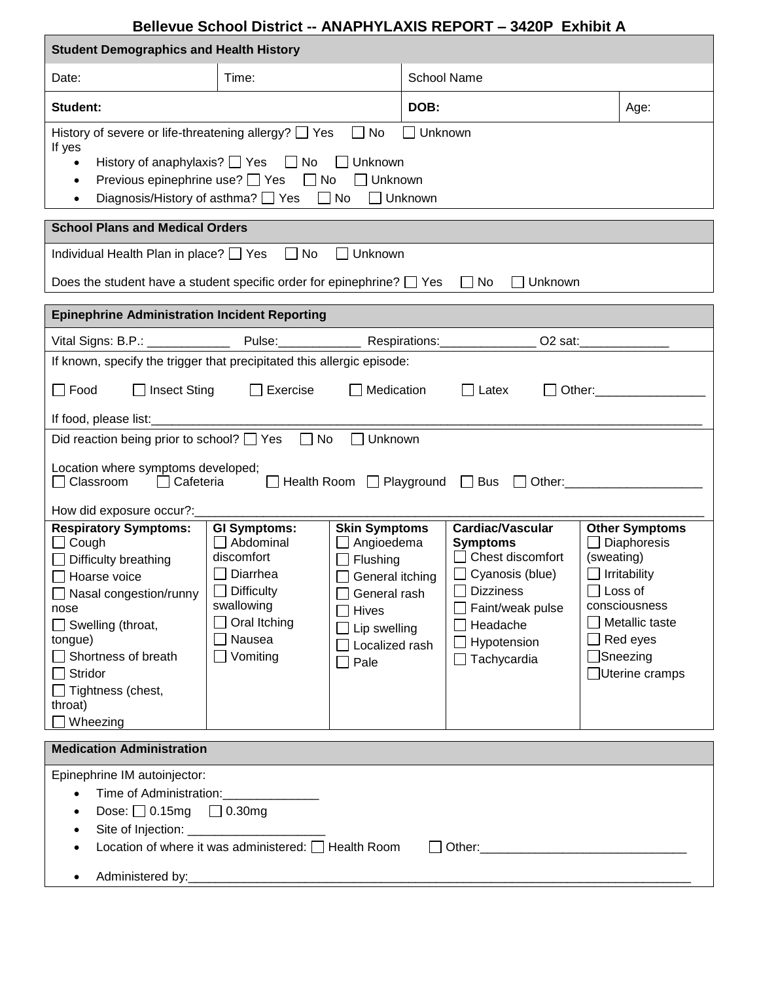## **Bellevue School District -- ANAPHYLAXIS REPORT – 3420P Exhibit A**

| <b>Student Demographics and Health History</b>                                                                                                                                                                                                                                               |                                                                                                                            |                                                                                                                                          |                    |                                                                                                                                                               |                              |                                                                                                                                      |  |
|----------------------------------------------------------------------------------------------------------------------------------------------------------------------------------------------------------------------------------------------------------------------------------------------|----------------------------------------------------------------------------------------------------------------------------|------------------------------------------------------------------------------------------------------------------------------------------|--------------------|---------------------------------------------------------------------------------------------------------------------------------------------------------------|------------------------------|--------------------------------------------------------------------------------------------------------------------------------------|--|
| Date:                                                                                                                                                                                                                                                                                        | Time:                                                                                                                      |                                                                                                                                          | <b>School Name</b> |                                                                                                                                                               |                              |                                                                                                                                      |  |
| Student:                                                                                                                                                                                                                                                                                     |                                                                                                                            |                                                                                                                                          | DOB:               |                                                                                                                                                               | Age:                         |                                                                                                                                      |  |
| History of severe or life-threatening allergy? $\Box$ Yes<br>$\Box$ No<br>$\Box$ Unknown<br>If yes<br>History of anaphylaxis? Ves No D Unknown<br>$\bullet$<br>Previous epinephrine use? □ Yes □ No □ Unknown<br>$\bullet$<br>Diagnosis/History of asthma? □ Yes □ No □ Unknown<br>$\bullet$ |                                                                                                                            |                                                                                                                                          |                    |                                                                                                                                                               |                              |                                                                                                                                      |  |
| <b>School Plans and Medical Orders</b>                                                                                                                                                                                                                                                       |                                                                                                                            |                                                                                                                                          |                    |                                                                                                                                                               |                              |                                                                                                                                      |  |
| $\Box$ No<br>Individual Health Plan in place? Thes<br>Unknown                                                                                                                                                                                                                                |                                                                                                                            |                                                                                                                                          |                    |                                                                                                                                                               |                              |                                                                                                                                      |  |
| Does the student have a student specific order for epinephrine? $\Box$ Yes $\Box$ No<br>$\Box$ Unknown                                                                                                                                                                                       |                                                                                                                            |                                                                                                                                          |                    |                                                                                                                                                               |                              |                                                                                                                                      |  |
| <b>Epinephrine Administration Incident Reporting</b>                                                                                                                                                                                                                                         |                                                                                                                            |                                                                                                                                          |                    |                                                                                                                                                               |                              |                                                                                                                                      |  |
|                                                                                                                                                                                                                                                                                              |                                                                                                                            |                                                                                                                                          |                    |                                                                                                                                                               |                              |                                                                                                                                      |  |
| If known, specify the trigger that precipitated this allergic episode:                                                                                                                                                                                                                       |                                                                                                                            |                                                                                                                                          |                    |                                                                                                                                                               |                              |                                                                                                                                      |  |
| $\Box$<br>Exercise<br>Medication<br>$\Box$ Food<br>$\Box$ Insect Sting<br>$\Box$ Latex<br>Other: _________________<br>$\perp$                                                                                                                                                                |                                                                                                                            |                                                                                                                                          |                    |                                                                                                                                                               |                              |                                                                                                                                      |  |
| Did reaction being prior to school? $\Box$ Yes $\Box$ No<br>Unknown                                                                                                                                                                                                                          |                                                                                                                            |                                                                                                                                          |                    |                                                                                                                                                               |                              |                                                                                                                                      |  |
| Location where symptoms developed;<br>□ Classroom   □ Cafeteria     □ Health Room   □ Playground   □ Bus   □ Other: _________                                                                                                                                                                |                                                                                                                            |                                                                                                                                          |                    |                                                                                                                                                               |                              |                                                                                                                                      |  |
| How did exposure occur?:__________<br><b>Respiratory Symptoms:</b><br><b>GI Symptoms:</b><br><b>Skin Symptoms</b><br><b>Cardiac/Vascular</b><br><b>Other Symptoms</b>                                                                                                                        |                                                                                                                            |                                                                                                                                          |                    |                                                                                                                                                               |                              |                                                                                                                                      |  |
| $\Box$ Cough<br>$\Box$ Difficulty breathing<br>Hoarse voice<br>Nasal congestion/runny<br>nose<br>$\Box$ Swelling (throat,<br>tongue)<br>Shortness of breath<br>Stridor<br>$\Box$ Tightness (chest,<br>throat)<br>Wheezing                                                                    | $\Box$ Abdominal<br>discomfort<br>$\Box$ Diarrhea<br>$\Box$ Difficulty<br>swallowing<br>Oral Itching<br>Nausea<br>Vomiting | $\Box$ Angioedema<br>$\Box$ Flushing<br>General itching<br>General rash<br><b>Hives</b><br>Lip swelling<br>Localized rash<br>$\Box$ Pale |                    | <b>Symptoms</b><br>$\Box$ Chest discomfort<br>$\Box$ Cyanosis (blue)<br><b>Dizziness</b><br>Faint/weak pulse<br>Headache<br>Hypotension<br>$\Box$ Tachycardia | (sweating)<br>$\Box$ Loss of | $\Box$ Diaphoresis<br>$\Box$ Irritability<br>consciousness<br>$\Box$ Metallic taste<br>$\Box$ Red eyes<br>Sneezing<br>Uterine cramps |  |
| <b>Medication Administration</b>                                                                                                                                                                                                                                                             |                                                                                                                            |                                                                                                                                          |                    |                                                                                                                                                               |                              |                                                                                                                                      |  |
| Epinephrine IM autoinjector:<br>Time of Administration: _______________<br>$\bullet$<br>Dose: $\Box$ 0.15mg $\Box$ 0.30mg<br>$\bullet$<br>$\bullet$<br>Location of where it was administered: □ Health Room<br>$\bullet$                                                                     |                                                                                                                            |                                                                                                                                          |                    |                                                                                                                                                               |                              |                                                                                                                                      |  |